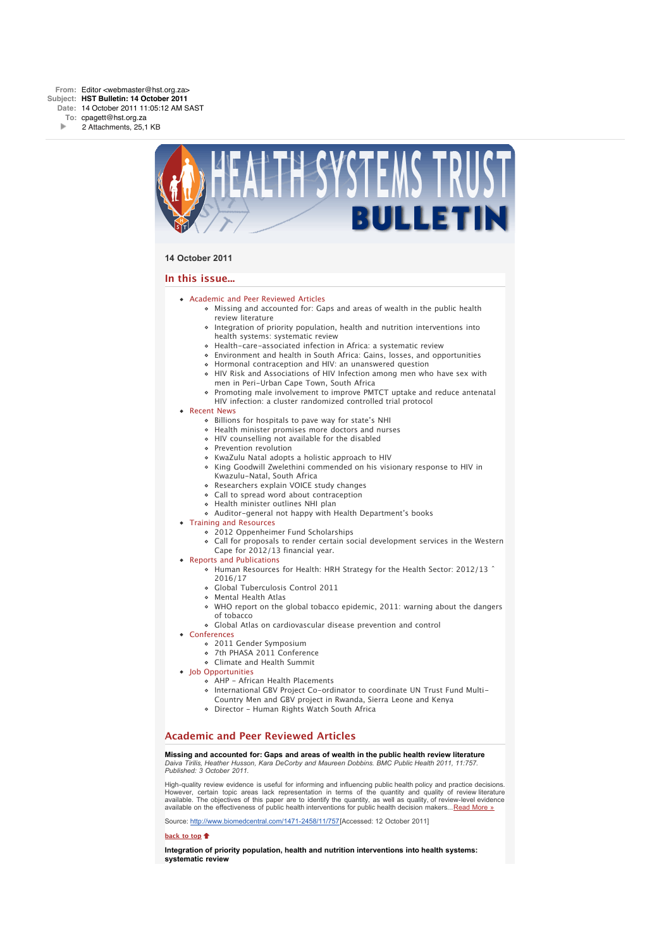

### **14 October 2011**

### **In this issue...**

- [Academic and Peer Reviewed Articles](x-msg://155/#Academic)
	- [Missing and accounted for: Gaps and areas of wealth in the public health](x-msg://155/#A_0) review literature
	- [Integration of priority population, health and nutrition interventions into](x-msg://155/#A_2) health systems: systematic review
	- [Health-care-associated infection in Africa: a systematic review](x-msg://155/#A_11)
	- [Environment and health in South Africa: Gains, losses, and opportunities](x-msg://155/#A_14)
	- [Hormonal contraception and HIV: an unanswered question](x-msg://155/#A_6)
	- [HIV Risk and Associations of HIV Infection among men who have sex with](x-msg://155/#A_10) men in Peri-Urban Cape Town, South Africa
	- [Promoting male involvement to improve PMTCT uptake and reduce antenatal](x-msg://155/#A_13) HIV infection: a cluster randomized controlled trial protocol
- [Recent News](x-msg://155/#recent)
	- [Billions for hospitals to pave way for state's NHI](x-msg://155/#N_20)
	- [Health minister promises more doctors and nurses](x-msg://155/#N_21)
	- [HIV counselling not available for the disabled](x-msg://155/#N_5)
	- [Prevention revolution](x-msg://155/#N_3)
	- [KwaZulu Natal adopts a holistic approach to HIV](x-msg://155/#N_2)
	- [King Goodwill Zwelethini commended on his visionary response to HIV in](x-msg://155/#N_65) Kwazulu-Natal, South Africa
	- [Researchers explain VOICE study changes](x-msg://155/#N_0)
	- [Call to spread word about contraception](x-msg://155/#N_14)
	- [Health minister outlines NHI plan](x-msg://155/#N_7)
	- [Auditor-general not happy with Health Department's books](x-msg://155/#N_17)
- [Training and Resources](x-msg://155/#train)
	- [2012 Oppenheimer Fund Scholarships](x-msg://155/#T_3)
	- [Call for proposals to render certain social development services in the Western](x-msg://155/#T_1)
	- Cape for 2012/13 financial year.
- [Reports and Publications](x-msg://155/#publications)
	- Human Resources for Health: HRH Strategy for the Health Sector: 2012/13 ˆ 2016/17
	- Global Tuberculosis Control 2011
	- [Mental Health Atlas](x-msg://155/#P_1)
	- [WHO report on the global tobacco epidemic, 2011: warning about the dangers](x-msg://155/#P_3) of tobacco
	- [Global Atlas on cardiovascular disease prevention and control](x-msg://155/#P_2)
- [Conferences](x-msg://155/#conferences)
	- [2011 Gender Symposium](x-msg://155/#C_1)
	- [7th PHASA 2011 Conference](x-msg://155/#C_3)
	- [Climate and Health Summit](x-msg://155/#C_0)
- Iob Opportunities
	- [AHP African Health Placements](x-msg://155/#J_0)
	- International GBV Project Co-ordinator to coordinate UN Trust Fund Multi-
	- Country Men and GBV project in Rwanda, Sierra Leone and Kenya
	- Director Human Rights Watch South Africa

### **Academic and Peer Reviewed Articles**

**Missing and accounted for: Gaps and areas of wealth in the public health review literature** *Daiva Tirilis, Heather Husson, Kara DeCorby and Maureen Dobbins. BMC Public Health 2011, 11:757. Published: 3 October 2011.*

High-quality review evidence is useful for informing and influencing public health policy and practice decisions. However, certain topic areas lack representation in terms of the quantity and quality of review literature available. The objectives of this paper are to identify the quantity, as well as quality, of review-level evidence available on the effectiveness of public health interventions for public health decision makers...[Read More »](http://bulletin.hst.org.za//lt.php?id=K09XDlRRUgIPSlBRBUUHC1NR)

Source: [http://www.biomedcentral.com/1471-2458/11/757\[](http://bulletin.hst.org.za//lt.php?id=K09XDlRRUgIPSlBRBUUHC1NR)Accessed: 12 October 2011]

### **[back to top](x-msg://155/#top)**

**Integration of priority population, health and nutrition interventions into health systems: systematic review**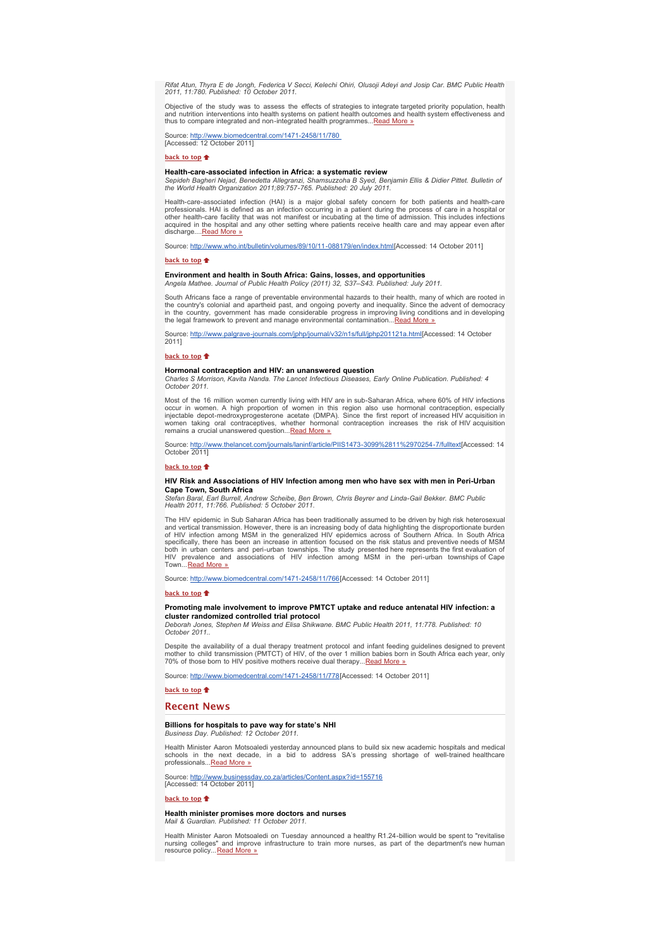*Rifat Atun, Thyra E de Jongh, Federica V Secci, Kelechi Ohiri, Olusoji Adeyi and Josip Car. BMC Public Health 2011, 11:780. Published: 10 October 2011.*

Objective of the study was to assess the effects of strategies to integrate targeted priority population, health<br>and nutrition interventions into health systems on patient health outcomes and health system effectiveness an

Source: <u>http://www.biomedcentral.com/1471-2458/11/780</u><br>[Accessed: 12 October 2011]

**[back to top](x-msg://155/#top)**

### **Health-care-associated infection in Africa: a systematic review**

*Sepideh Bagheri Nejad, Benedetta Allegranzi, Shamsuzzoha B Syed, Benjamin Ellis & Didier Pittet. Bulletin of the World Health Organization 2011;89:757-765. Published: 20 July 2011.*

Health-care-associated infection (HAI) is a major global safety concern for both patients and health-care<br>professionals. HAI is defined as an infection occurring in a patient during the process of care in a hospital o<br>othe discharge...[.Read More »](http://bulletin.hst.org.za//lt.php?id=K09XDlRRUw8CSlBRBUUHC1NR)

Source: [http://www.who.int/bulletin/volumes/89/10/11-088179/en/index.html\[](http://bulletin.hst.org.za//lt.php?id=K09XDlRRUw8CSlBRBUUHC1NR)Accessed: 14 October 2011]

#### **[back to top](x-msg://155/#top)**

### **Environment and health in South Africa: Gains, losses, and opportunities** *Angela Mathee. Journal of Public Health Policy (2011) 32, S37–S43. Published: July 2011.*

South Africans face a range of preventable environmental hazards to their health, many of which are rooted in the country's colonial and apartheid past, and ongoing poverty and inequality. Since the advent of democracy<br>in the country, government has made considerable progress in improving living conditions and in developing<br>the le

Source: [http://www.palgrave-journals.com/jphp/journal/v32/n1s/full/jphp201121a.html\[](http://bulletin.hst.org.za//lt.php?id=K09XDlRRUw8BSlBRBUUHC1NR)Accessed: 14 October 2011]

### **[back to top](x-msg://155/#top)**

### **Hormonal contraception and HIV: an unanswered question**

*Charles S Morrison, Kavita Nanda. The Lancet Infectious Diseases, Early Online Publication. Published: 4 October 2011.*

Most of the 16 million women currently living with HIV are in sub-Saharan Africa, where 60% of HIV infections occur in women. A high proportion of women in this region also use hormonal contraception, especially injectable

Source: <u>[http://www.thelancet.com/journals/laninf/article/PIIS1473-3099%2811%2970254-7/fulltext](http://bulletin.hst.org.za//lt.php?id=K09XDlRRUgMPSlBRBUUHC1NR)[</u>Accessed: 14<br>October 2011]

#### **[back to top](x-msg://155/#top)**

### **HIV Risk and Associations of HIV Infection among men who have sex with men in Peri-Urban Cape Town, South Africa**

*Stefan Baral, Earl Burrell, Andrew Scheibe, Ben Brown, Chris Beyrer and Linda-Gail Bekker. BMC Public Health 2011, 11:766. Published: 5 October 2011.*

The HIV epidemic in Sub Saharan Africa has been traditionally assumed to be driven by high risk heterosexual and vertical transmission. However, there is an increasing body of data highlighting the disproportionate burden of HIV infection among MSM in the generalized HIV epidemics across of Southern Africa. In South Africa specifically, there has been an increase in attention focused on the risk status and preventive needs of MSM<br>both in urban centers and peri-urban townships. The study presented here represents the first evaluation of<br>HIV p Town...<u>[Read More »](http://bulletin.hst.org.za//lt.php?id=K09XDlRRUgIASlBRBUUHC1NR)</u>

Source: [http://www.biomedcentral.com/1471-2458/11/766\[](http://bulletin.hst.org.za//lt.php?id=K09XDlRRUgIASlBRBUUHC1NR)Accessed: 14 October 2011]

### **[back to top](x-msg://155/#top)**

### **Promoting male involvement to improve PMTCT uptake and reduce antenatal HIV infection: a cluster randomized controlled trial protocol**

*Deborah Jones, Stephen M Weiss and Elisa Shikwane. BMC Public Health 2011, 11:778. Published: 10 October 2011..*

Despite the availability of a dual therapy treatment protocol and infant feeding guidelines designed to prevent<br>mother to child transmission (PMTCT) of HIV, of the over 1 million babies born in South Africa each year, only

Source: [http://www.biomedcentral.com/1471-2458/11/778\[](http://bulletin.hst.org.za//lt.php?id=K09XDlRRUgYHSlBRBUUHC1NR)Accessed: 14 October 2011]

### **[back to top](x-msg://155/#top)**

### **Recent News**

## **Billions for hospitals to pave way for state's NHI** *Business Day. Published: 12 October 2011.*

Health Minister Aaron Motsoaledi yesterday announced plans to build six new academic hospitals and medical schools in the next decade, in a bid to address SA's pressing shortage of well-trained healthcare professionals..[.Read More »](http://bulletin.hst.org.za//lt.php?id=K09XDlRRUgYGSlBRBUUHC1NR)

Source: <u>[http://www.businessday.co.za/articles/Content.aspx?id=155716](http://bulletin.hst.org.za//lt.php?id=K09XDlRRUgYFSlBRBUUHC1NR)</u><br>[Accessed: 14 October 2011]

### **[back to top](x-msg://155/#top)**

#### **Health minister promises more doctors and nurses** *Mail & Guardian. Published: 11 October 2011.*

Health Minister Aaron Motsoaledi on Tuesday announced a healthy R1.24-billion would be spent to "revitalise nursing colleges" and improve infrastructure to train more nurses, as part of the department's new human resource policy...[Read More »](http://bulletin.hst.org.za//lt.php?id=K09XDlRRUgYESlBRBUUHC1NR)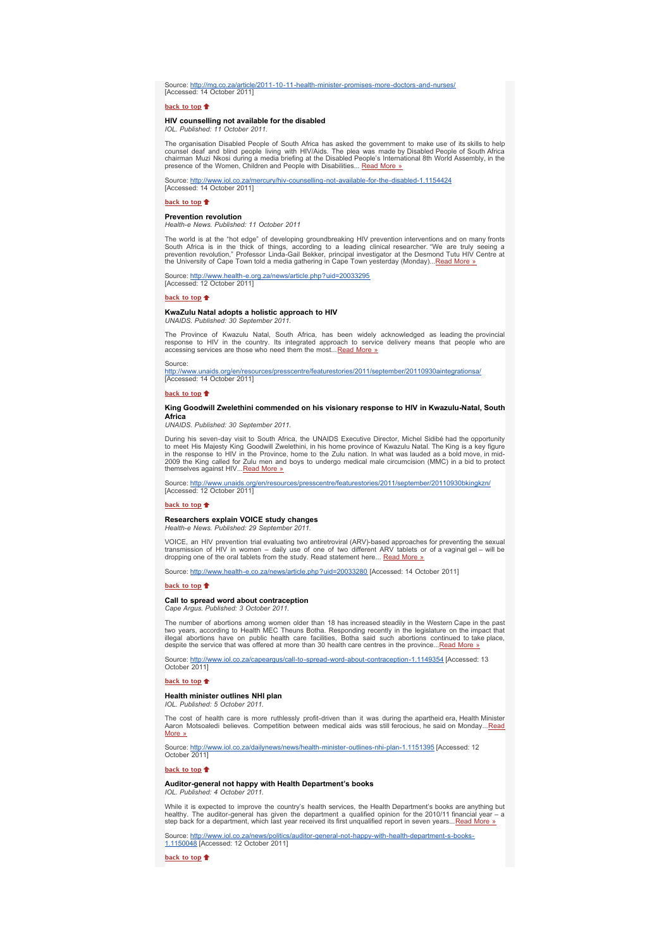Source: <u>[http://mg.co.za/article/2011-10-11-health-minister-promises-more-doctors-and-nurses/](http://bulletin.hst.org.za//lt.php?id=K09XDlRRUgYDSlBRBUUHC1NR)</u><br>[Accessed: 14 October 2011]

### **[back to top](x-msg://155/#top)**

## **HIV counselling not available for the disabled** *IOL. Published: 11 October 2011.*

The organisation Disabled People of South Africa has asked the government to make use of its skills to help<br>counsel deaf and blind people living with HIV/Aids. The plea was made by Disabled People of South Africa<br>chairman presence of the Women, Children and People with Disabilities... [Read More »](http://bulletin.hst.org.za//lt.php?id=K09XDlRRUgYCSlBRBUUHC1NR)

Source: <u>[http://www.iol.co.za/mercury/hiv-counselling-not-available-for-the-disabled-1.1154424](http://bulletin.hst.org.za//lt.php?id=K09XDlRRUgYBSlBRBUUHC1NR)</u><br>[Accessed: 14 October 2011]

## **[back to top](x-msg://155/#top)**

### **Prevention revolution**

*Health-e News. Published: 11 October 2011*

The world is at the "hot edge" of developing groundbreaking HIV prevention interventions and on many fronts<br>South Africa is in the thick of things, according to a leading clinical researcher. "We are truly seeing a<br>prevent

Source: [http://www.health-e.org.za/news/article.php?uid=20033295](http://bulletin.hst.org.za//lt.php?id=K09XDlRRUgYPSlBRBUUHC1NR)<br>[Accessed: 12 October 2011]

#### **[back to top](x-msg://155/#top)**

### **KwaZulu Natal adopts a holistic approach to HIV**

**UNAIDS.** Published: 30 September 201

The Province of Kwazulu Natal, South Africa, has been widely acknowledged as leading the provincial<br>response to HIV in the country. Its integrated approach to service delivery means that people who are<br>accessing services a

### **Source**

<u>[http://www.unaids.org/en/resources/presscentre/featurestories/2011/september/20110930aintegrationsa/](http://bulletin.hst.org.za//lt.php?id=K09XDlRRUgcFSlBRBUUHC1NR)</u><br>[Accessed: 14 October 2011]

**[back to top](x-msg://155/#top)**

### **King Goodwill Zwelethini commended on his visionary response to HIV in Kwazulu-Natal, South Africa**

*UNAIDS. Published: 30 September 2011.*

During his seven-day visit to South Africa, the UNAIDS Executive Director, Michel Sidibé had the opportunity<br>to meet His Majesty King Goodwill Zwelethini, in his home province of Kwazulu Natal. The King is a key figure<br>in themselves against HIV... [Read More »](http://bulletin.hst.org.za//lt.php?id=K09XDlRRUgcESlBRBUUHC1NR)

Source: <u>[http://www.unaids.org/en/resources/presscentre/featurestories/2011/september/20110930bkingkzn/](http://bulletin.hst.org.za//lt.php?id=K09XDlRRUgcDSlBRBUUHC1NR)</u><br>[Accessed: 12 October 2011]

### **[back to top](x-msg://155/#top)**

### **Researchers explain VOICE study changes**

*Health-e News. Published: 29 September 2011.*

VOICE, an HIV prevention trial evaluating two antiretroviral (ARV)-based approaches for preventing the sexual<br>transmission of HIV in women – daily use of one of two different ARV tablets or of a vaginal gel – will be<br>dropp

Source: [http://www.health-e.co.za/news/article.php?uid=20033280](http://bulletin.hst.org.za//lt.php?id=K09XDlRRUgcBSlBRBUUHC1NR) [Accessed: 14 October 2011]

#### **[back to top](x-msg://155/#top)**

### **Call to spread word about contraception** *Cape Argus. Published: 3 October 2011.*

The number of abortions among women older than 18 has increased steadily in the Western Cape in the past<br>two years, according to Health MEC Theuns Botha. Responding recently in the legislature on the impact that<br>illegal a

Source: <u>http://www.iol.co.za/capeargus/call-to-spread-word-about-contraception-1.1149354</u> [Accessed: 13<br>October 2011]

#### **[back to top](x-msg://155/#top)**

### **Health minister outlines NHI plan**

*IOL. Published: 5 October 2011.*

The cost of health care is more ruthlessly profit-driven than it was during the apartheid era, Health Minister<br>Aaron Motsoaledi believes. Competition between medical aids was still ferocious, he said on Monday...<u>Read</u><br><u>Mo</u>

Source: <u>http://www.iol.co.za/dailynews/news/health-minister-outlines-nhi-plan-1.1151395</u> [Accessed: 12<br>October 2011]

**[back to top](x-msg://155/#top)**

## **Auditor-general not happy with Health Department's books** *IOL. Published: 4 October 2011.*

While it is expected to improve the country's health services, the Health Department's books are anything but healthy. The auditor-general has given the department a qualified opinion for the 2010/11 financial year – a<br>step back for a department, which last year received its first unqualified report in seven years...<u>[Read More »](http://bulletin.hst.org.za//lt.php?id=K09XDlRRUgQESlBRBUUHC1NR)</u>

Source: http://www.iol.co.za/news/politics/auditor-general-not-happy-with-health-department-s-books-<br>1.1150048 [Accessed: 12 October 2011]

**[back to top](x-msg://155/#top)**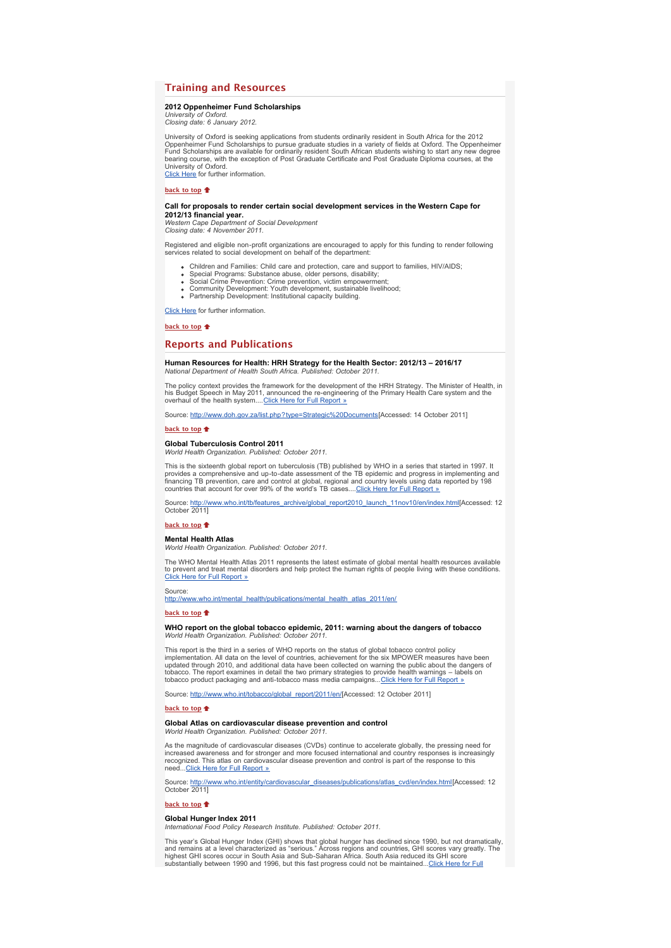### **Training and Resources**

### **2012 Oppenheimer Fund Scholarships**

*University of Oxford. Closing date: 6 January 2012.*

University of Oxford is seeking applications from students ordinarily resident in South Africa for the 2012<br>Oppenheimer Fund Scholarships to pursue graduate studies in a variety of fields at Oxford. The Oppenheimer<br>Fund Sc [Click Here](http://bulletin.hst.org.za//lt.php?id=K09XDlRRUgQOSlBRBUUHC1NR) for further information.

**[back to top](x-msg://155/#top)**

## **Call for proposals to render certain social development services in the Western Cape for**

**2012/13 financial year.** *Western Cape Department of Social Development Closing date: 4 November 2011.*

Registered and eligible non-profit organizations are encouraged to apply for this funding to render following services related to social development on behalf of the department:

- Children and Families: Child care and protection, care and support to families, HIV/AIDS;
- 
- Special Programs: Substance abuse, older persons, disability; Social Crime Prevention: Crime prevention, victim empowerment; Community Development: Youth development, sustainable livelihood;
- Berlington Development: Institutional capacity building.

[Click Here](http://bulletin.hst.org.za//lt.php?id=K09XDlRRUgUHSlBRBUUHC1NR) for further information.

**[back to top](x-msg://155/#top)**

### **Reports and Publications**

### **Human Resources for Health: HRH Strategy for the Health Sector: 2012/13 – 2016/17** *National Department of Health South Africa. Published: October 2011.*

The policy context provides the framework for the development of the HRH Strategy. The Minister of Health, in<br>his Budget Speech in May 2011, announced the re-engineering of the Primary Health Care system and the<br>overhaul o

Source: [http://www.doh.gov.za/list.php?type=Strategic%20Documents](http://bulletin.hst.org.za//lt.php?id=K09XDlRRUgUFSlBRBUUHC1NR)[Accessed: 14 October 2011]

### **[back to top](x-msg://155/#top)**

### **Global Tuberculosis Control 2011**

*World Health Organization. Published: October 2011.*

This is the sixteenth global report on tuberculosis (TB) published by WHO in a series that started in 1997. It provides a comprehensive and up-to-date assessment of the TB epidemic and progress in implementing and financing TB prevention, care and control at global, regional and country levels using data reported by 198<br>countries that account for over 99% of the world's TB cases....<u>Click Here for Full Report »</u>

Source: <u>[http://www.who.int/tb/features\\_archive/global\\_report2010\\_launch\\_11nov10/en/index.html\[](http://bulletin.hst.org.za//lt.php?id=K09XDlRRUgUDSlBRBUUHC1NR)</u>Accessed: 12<br>October 2011]

#### **[back to top](x-msg://155/#top)**

### **Mental Health Atlas**

*World Health Organization. Published: October 2011.*

The WHO Mental Health Atlas 2011 represents the latest estimate of global mental health resources available to prevent and treat mental disorders and help protect the human rights of people living with these conditions. [Click Here for Full Report »](http://bulletin.hst.org.za//lt.php?id=K09XDlRRUgUCSlBRBUUHC1NR)

Source: [http://www.who.int/mental\\_health/publications/mental\\_health\\_atlas\\_2011/en/](http://bulletin.hst.org.za//lt.php?id=K09XDlRRUgUBSlBRBUUHC1NR)

#### **[back to top](x-msg://155/#top)**

### **WHO report on the global tobacco epidemic, 2011: warning about the dangers of tobacco** *World Health Organization. Published: October 2011.*

This report is the third in a series of WHO reports on the status of global tobacco control policy<br>implementation. All data on the level of countries, achievement for the six MPOWER measures have been<br>updated through 2010, tobacco. The report examines in detail the two primary strategies to provide health warnings – labels on<br>tobacco product packaging and anti-tobacco mass media campaigns...[Click Here for Full Report »](http://bulletin.hst.org.za//lt.php?id=K09XDlRRUgUASlBRBUUHC1NR)

Source: [http://www.who.int/tobacco/global\\_report/2011/en/\[](http://bulletin.hst.org.za//lt.php?id=K09XDlRRUgUPSlBRBUUHC1NR)Accessed: 12 October 2011]

### **[back to top](x-msg://155/#top)**

#### **Global Atlas on cardiovascular disease prevention and control** *World Health Organization. Published: October 2011.*

As the magnitude of cardiovascular diseases (CVDs) continue to accelerate globally, the pressing need for

increased awareness and for stronger and more focused international and country responses is increasingly recognized. This atlas on cardiovascular disease prevention and control is part of the response to this<br>need...[Click Here for Full Report »](http://bulletin.hst.org.za//lt.php?id=K09XDlRRUgUOSlBRBUUHC1NR)

Source: <u>[http://www.who.int/entity/cardiovascular\\_diseases/publications/atlas\\_cvd/en/index.html\[](http://bulletin.hst.org.za//lt.php?id=K09XDlRRUgIHSlBRBUUHC1NR)</u>Accessed: 12<br>October 2011]

#### **[back to top](x-msg://155/#top)**

### **Global Hunger Index 2011**

*International Food Policy Research Institute. Published: October 2011.*

This year's Global Hunger Index (GHI) shows that global hunger has declined since 1990, but not dramatically,<br>and remains at a level characterized as "serious." Across regions and countries, GHI scores vary greatly. The<br>hi [substantially between 1990 and 1996, but this fast progress could not be maintained...Click Here for Full](http://bulletin.hst.org.za//lt.php?id=K09XDlRRUgIOSlBRBUUHC1NR)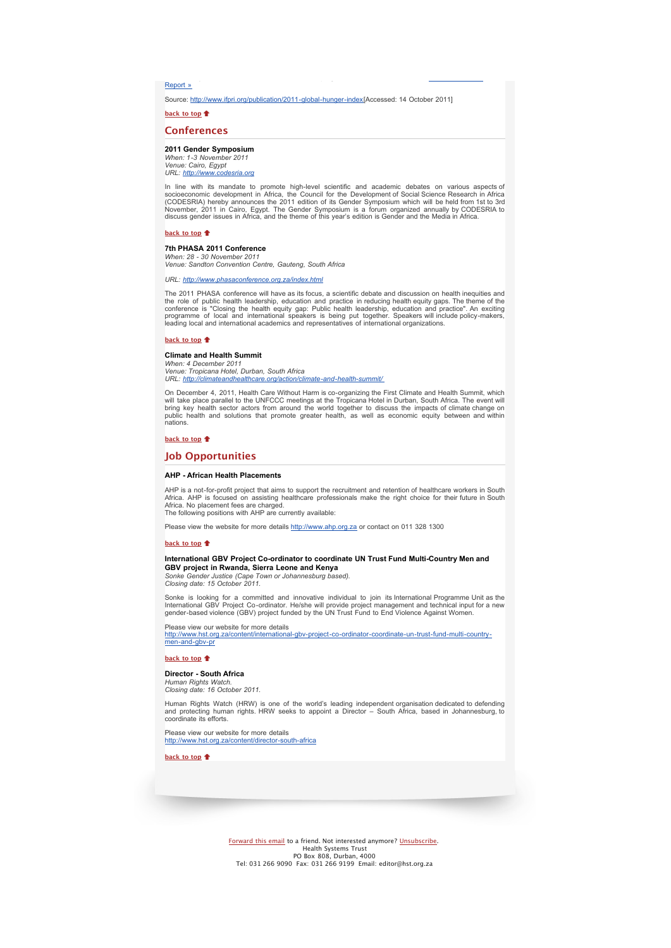Report »

Source: [http://www.ifpri.org/publication/2011-global-hunger-index\[](http://bulletin.hst.org.za//lt.php?id=K09XDlRRUgMHSlBRBUUHC1NR)Accessed: 14 October 2011]

[substantially between 1990 and 1996, but this fast progress could not be maintained...Click Here for Full](http://bulletin.hst.org.za//lt.php?id=K09XDlRRUgIOSlBRBUUHC1NR)

**[back to top](x-msg://155/#top)**

### **Conferences**

### **2011 Gender Symposium**

*When: 1-3 November 2011 Venue: Cairo, Egypt URL: http://www.* 

In line with its mandate to promote high-level scientific and academic debates on various aspects of<br>socioeconomic development in Africa, the Council for the Development of Social Science Research in Africa<br>(CODESRIA) here discuss gender issues in Africa, and the theme of this year's edition is Gender and the Media in Africa.

### **[back to top](x-msg://155/#top)**

### **7th PHASA 2011 Conference**

*When: 28 - 30 November 2011 Venue: Sandton Convention Centre, Gauteng, South Africa*

*URL: [http://www.phasaconference.org.za/index.html](http://bulletin.hst.org.za//lt.php?id=K09XDlRRUgMFSlBRBUUHC1NR)*

The 2011 PHASA conference will have as its focus, a scientific debate and discussion on health inequities and the role of public health leadership, education and practice in reducing health equity gaps. The theme of the<br>conference is "Closing the health equity gap: Public health leadership, education and practice". An exciting<br>pro

#### **[back to top](x-msg://155/#top)**

### **Climate and Health Summit**

*When: 4 December 2011 Venue: Tropicana Hotel, Durban, South Africa URL: [http://climateandhealthcare.org/action/climate-and-health-summit/](http://bulletin.hst.org.za//lt.php?id=K09XDlRRUgMESlBRBUUHC1NR)* 

On December 4, 2011, Health Care Without Harm is co-organizing the First Climate and Health Summit, which will take place parallel to the UNFCCC meetings at the Tropicana Hotel in Durban, South Africa. The event will<br>bring key health sector actors from around the world together to discuss the impacts of climate change on<br>publi nations.

### **[back to top](x-msg://155/#top)**

### **Job Opportunities**

### **AHP - African Health Placements**

AHP is a not-for-profit project that aims to support the recruitment and retention of healthcare workers in South Africa. AHP is focused on assisting healthcare professionals make the right choice for their future in South Africa. No placement fees are charged. The following positions with AHP are currently available:

Please view the website for more details [http://www.ahp.org.za](http://bulletin.hst.org.za//lt.php?id=K09XDlRRUgMCSlBRBUUHC1NR) or contact on 011 328 1300

### **[back to top](x-msg://155/#top)**

### **International GBV Project Co-ordinator to coordinate UN Trust Fund Multi-Country Men and GBV project in Rwanda, Sierra Leone and Kenya**

*Sonke Gender Justice (Cape Town or Johannesburg based). Closing date: 15 October 2011.*

Sonke is looking for a committed and innovative individual to join its International Programme Unit as the<br>International GBV Project Co-ordinator. He/she will provide project management and technical input for a new<br>gender

Please view our website for more details

[http://www.hst.org.za/content/international-gbv-project-co-ordinator-coordinate-un-trust-fund-multi-country](http://bulletin.hst.org.za//lt.php?id=K09XDlRRUgMBSlBRBUUHC1NR)men-and-gbv-pr

#### **[back to top](x-msg://155/#top)**

### **Director - South Africa**

*Human Rights Watch. Closing date: 16 October 2011.*

Human Rights Watch (HRW) is one of the world's leading independent organisation dedicated to defending and protecting human rights. HRW seeks to appoint a Director – South Africa, based in Johannesburg, to coordinate its efforts.

Please view our website for more details [http://www.hst.org.za/content/director-south-africa](http://bulletin.hst.org.za//lt.php?id=K09XDlRRUgMASlBRBUUHC1NR)

**[back to top](x-msg://155/#top)**

[Forward this email](http://bulletin.hst.org.za//lt.php?id=K09XDlRRUgIGSlBRBUUHC1NR) to a friend. Not interested anymore? [Unsubscribe.](http://bulletin.hst.org.za//lt.php?id=K09XDlRRUgIFSlBRBUUHC1NR) Health Systems Trust<br>PO Box 808, Durban, 4000<br>Tel: 031 266 9090 Fax: 031 266 9199 Email: editor@hst.org.za